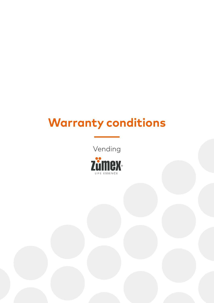## **Warranty conditions**

Vending

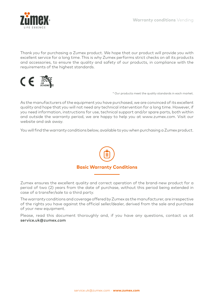

Thank you for purchasing a Zumex product. We hope that our product will provide you with excellent service for a long time. This is why Zumex performs strict checks on all its products and accessories, to ensure the quality and safety of our products, in compliance with the requirements of the highest standards.



\* Our products meet the quality standards in each market.

As the manufacturers of the equipment you have purchased, we are convinced of its excellent quality and hope that you will not need any technical intervention for a long time. However, if you need information, instructions for use, technical support and/or spare parts, both within and outside the warranty period, we are happy to help you at www.zumex.com. Visit our website and ask away.

You will find the warranty conditions below, available to you when purchasing a Zumex product.



Zumex ensures the excellent quality and correct operation of the brand-new product for a period of two (2) years from the date of purchase, without this period being extended in case of a transfer/sale to a third party.

The warranty conditions and coverage offered by Zumex as the manufacturer, are irrespective of the rights you have against the official seller/dealer, derived from the sale and purchase of your new equipment.

Please, read this document thoroughly and, if you have any questions, contact us at service.uk@zumex.com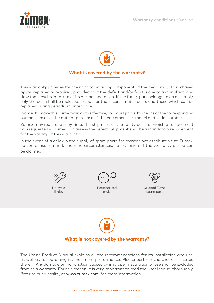



This warranty provides for the right to have any component of the new product purchased by you replaced or repaired, provided that the defect and/or fault is due to a manufacturing flaw that results in failure of its normal operation. If the faulty part belongs to an assembly, only the part shall be replaced, except for those consumable parts and those which can be replaced during periodic maintenance.

In order to make this Zumex warranty effective, you must prove, by means of the corresponding purchase invoice, the date of purchase of the equipment, its model and serial number.

Zumex may require, at any time, the shipment of the faulty part for which a replacement was requested so Zumex can assess the defect. Shipment shall be a mandatory requirement for the validity of this warranty.

In the event of a delay in the supply of spare parts for reasons not attributable to Zumex, no compensation and, under no circumstances, no extension of the warranty period can be claimed.



No cycle limits



Personalised service



Original Zumex spare parts



## **What is not covered by the warranty?**

The User's Product Manual explains all the recommendations for its installation and use, as well as for obtaining its maximum performance. Please perform the checks indicated therein. Any damage or malfunction caused by improper installation or use shall be excluded from this warranty. For this reason, it is very important to read the User Manual thoroughly. Refer to our website, at www.zumex.com, for more information.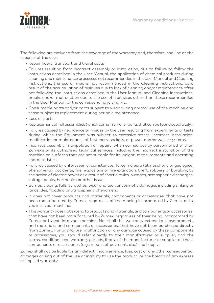

The following are excluded from the coverage of the warranty and, therefore, shall be at the expense of the user:

- Repair hours, transport and travel costs
- Failures resulting from incorrect assembly or installation, due to failure to follow the instructions described in the User Manual, the application of chemical products during cleaning and maintenance processes not recommended in the User Manual and Cleaning Instructions, the use of means not recommended in the Cleaning Instructions, as a result of the accumulation of residues due to lack of cleaning and/or maintenance after not following the instructions described in the User Manual and Cleaning Instructions, breaks and/or malfunction due to the use of fruit sizes other than those recommended in the User Manual for the corresponding juicing kit..
- Consumable parts and/or parts subject to wear during normal use of the machine and those subject to replacement during periodic maintenance.
- Loss of parts.
- Replacement of full assemblies (which come in smaller parts that can be found separately).
- Failures caused by negligence or misuse by the user resulting from experiments or tests during which the Equipment was subject to excessive stress, incorrect installation, modification or maintenance of fasteners, sockets, or power and/or water systems.
- Incorrect assembly, manipulation or repairs, when carried out by personnel other than Zumex's or its authorised technical services, including the incorrect installation of the machine on surfaces that are not suitable for its weight, measurements and operating characteristics.
- Failures caused by unforeseen circumstances, force majeure (atmospheric or geological phenomena), accidents, fire, explosions or fire extinction, theft, robbery or burglary; by the action of electric power as a result of short circuits, outages, atmospheric discharges, voltage peaks, harmonics or other issues.
- Bumps, tipping, falls, scratches, wear and tear, or cosmetic damages including sinking or landslides, flooding or atmospheric phenomena.
- It does not cover products and materials, components or accessories, that have not been manufactured by Zumex, regardless of them being incorporated by Zumex or by you into your machine.
- This warranty does not extend to products and materials, and components or accessories, that have not been manufactured by Zumex, regardless of their being incorporated by Zumex or by you into your machine. Nor shall this warranty extend to those products and materials, and components or accessories, that have not been purchased directly from Zumex. For any failure, malfunction or any damage caused by these components or accessories, you should refer directly to their manufacturer or supplier, and the terms, conditions and warranty periods, if any, of the manufacturer or supplier of these components or accessories (e.g., means of payment, etc.) shall apply.

Zumex shall not be liable for any defect, inconvenience, loss, cost or any other consequential damages arising out of the use or inability to use the product, or the breach of any express or implied warranty.